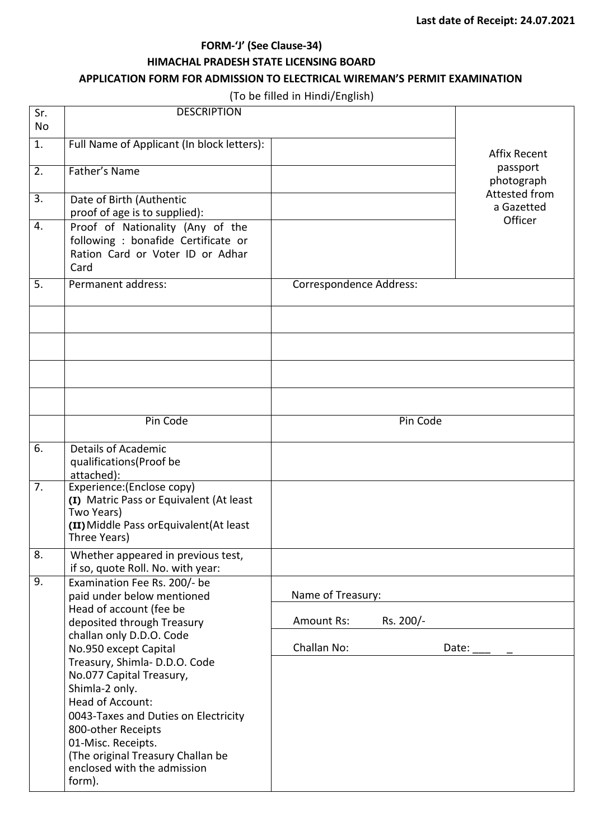# **FORM-'J' (See Clause-34) HIMACHAL PRADESH STATE LICENSING BOARD**

## **APPLICATION FORM FOR ADMISSION TO ELECTRICAL WIREMAN'S PERMIT EXAMINATION**

(To be filled in Hindi/English)

| Sr.              | <b>DESCRIPTION</b>                                                                                                                                                                                                                                     |                         |                                        |
|------------------|--------------------------------------------------------------------------------------------------------------------------------------------------------------------------------------------------------------------------------------------------------|-------------------------|----------------------------------------|
| <b>No</b>        |                                                                                                                                                                                                                                                        |                         |                                        |
| 1.               | Full Name of Applicant (In block letters):                                                                                                                                                                                                             |                         | <b>Affix Recent</b>                    |
| $\overline{2}$ . | Father's Name                                                                                                                                                                                                                                          |                         | passport<br>photograph                 |
| 3.               | Date of Birth (Authentic<br>proof of age is to supplied):                                                                                                                                                                                              |                         | Attested from<br>a Gazetted<br>Officer |
| 4.               | Proof of Nationality (Any of the<br>following : bonafide Certificate or<br>Ration Card or Voter ID or Adhar<br>Card                                                                                                                                    |                         |                                        |
| 5.               | Permanent address:                                                                                                                                                                                                                                     | Correspondence Address: |                                        |
|                  |                                                                                                                                                                                                                                                        |                         |                                        |
|                  |                                                                                                                                                                                                                                                        |                         |                                        |
|                  |                                                                                                                                                                                                                                                        |                         |                                        |
|                  |                                                                                                                                                                                                                                                        |                         |                                        |
|                  | Pin Code                                                                                                                                                                                                                                               |                         | Pin Code                               |
| $\overline{6}$ . | <b>Details of Academic</b><br>qualifications(Proof be<br>attached):                                                                                                                                                                                    |                         |                                        |
| 7.               | Experience: (Enclose copy)<br>(I) Matric Pass or Equivalent (At least<br>Two Years)<br>(II) Middle Pass or Equivalent (At least<br>Three Years)                                                                                                        |                         |                                        |
| 8.               | Whether appeared in previous test,<br>if so, quote Roll. No. with year:                                                                                                                                                                                |                         |                                        |
| 9.               | Examination Fee Rs. 200/- be<br>paid under below mentioned                                                                                                                                                                                             | Name of Treasury:       |                                        |
|                  | Head of account (fee be<br>deposited through Treasury                                                                                                                                                                                                  | Amount Rs:              | Rs. 200/-                              |
|                  | challan only D.D.O. Code<br>No.950 except Capital                                                                                                                                                                                                      | Challan No:             | Date:                                  |
|                  | Treasury, Shimla-D.D.O. Code<br>No.077 Capital Treasury,<br>Shimla-2 only.<br>Head of Account:<br>0043-Taxes and Duties on Electricity<br>800-other Receipts<br>01-Misc. Receipts.<br>(The original Treasury Challan be<br>enclosed with the admission |                         |                                        |
|                  | form).                                                                                                                                                                                                                                                 |                         |                                        |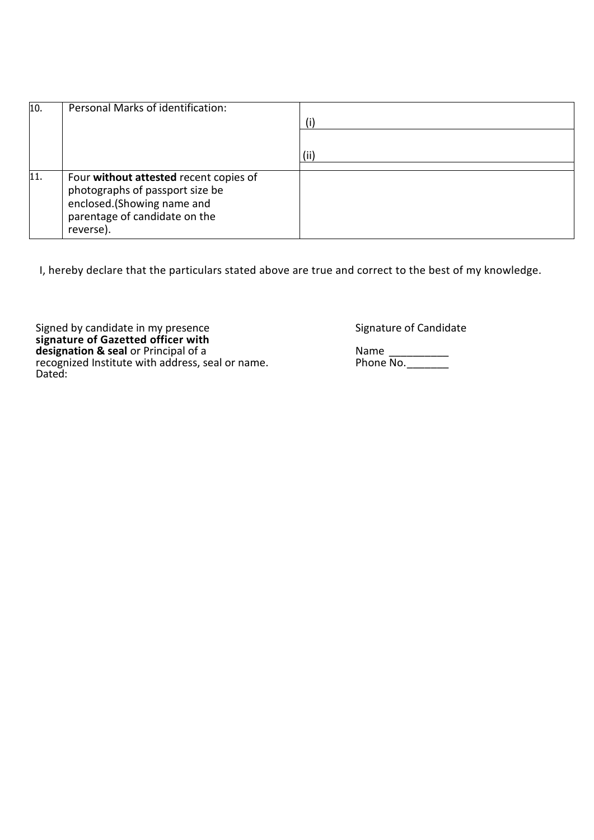| 10. | Personal Marks of identification:                                                                                                                     | (i)  |
|-----|-------------------------------------------------------------------------------------------------------------------------------------------------------|------|
|     |                                                                                                                                                       | (ii) |
|     |                                                                                                                                                       |      |
| 11. | Four without attested recent copies of<br>photographs of passport size be<br>enclosed.(Showing name and<br>parentage of candidate on the<br>reverse). |      |

I, hereby declare that the particulars stated above are true and correct to the best of my knowledge.

Signed by candidate in my presence states and some Signature of Candidate **signature of Gazetted officer with designation & seal** or Principal of a Name 2008 Mame 2014. recognized Institute with address, seal or name. The Phone No. 2006 2014. Dated: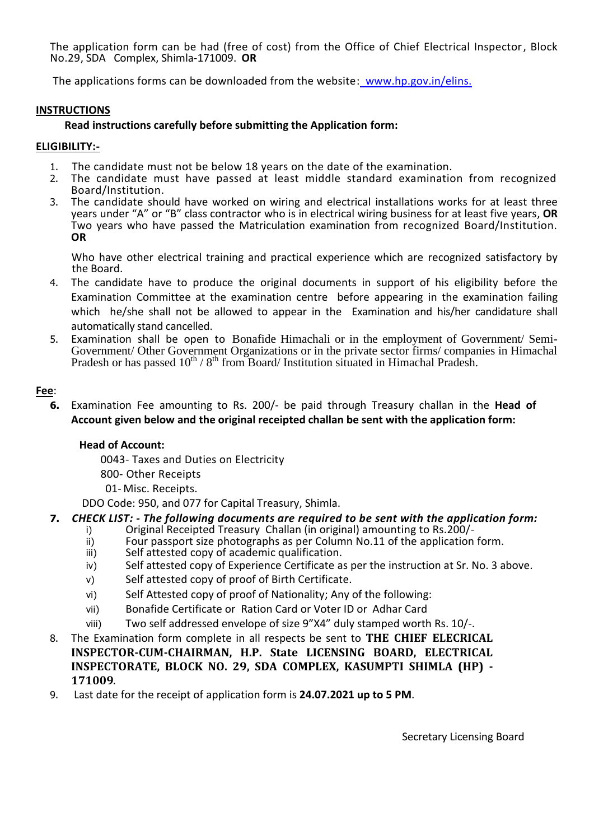The application form can be had (free of cost) from the Office of Chief Electrical Inspector, Block No.29, SDA Complex, Shimla-171009. **OR**

The applications forms can be downloaded from the website: www.hp.gov.in/elins.

#### **INSTRUCTIONS**

## **Read instructions carefully before submitting the Application form:**

#### **ELIGIBILITY:-**

- 1. The candidate must not be below 18 years on the date of the examination.
- 2. The candidate must have passed at least middle standard examination from recognized Board/Institution.
- 3. The candidate should have worked on wiring and electrical installations works for at least three years under "A" or "B" class contractor who is in electrical wiring business for at least five years, **OR** Two years who have passed the Matriculation examination from recognized Board/Institution. **OR**

 Who have other electrical training and practical experience which are recognized satisfactory by the Board.

- 4. The candidate have to produce the original documents in support of his eligibility before the Examination Committee at the examination centre before appearing in the examination failing which he/she shall not be allowed to appear in the Examination and his/her candidature shall automatically stand cancelled.
- 5. Examination shall be open to Bonafide Himachali or in the employment of Government/ Semi-Government/ Other Government Organizations or in the private sector firms/ companies in Himachal Pradesh or has passed  $10^{th}$  /  $8^{th}$  from Board/ Institution situated in Himachal Pradesh.

## **Fee**:

**6.** Examination Fee amounting to Rs. 200/- be paid through Treasury challan in the **Head of Account given below and the original receipted challan be sent with the application form:** 

#### **Head of Account:**

0043- Taxes and Duties on Electricity

- 800- Other Receipts
- 01- Misc. Receipts.

DDO Code: 950, and 077 for Capital Treasury, Shimla.

# **7.** *CHECK LIST: - The following documents are required to be sent with the application form:*

- i) Original Receipted Treasury Challan (in original) amounting to Rs.200/-<br>ii) Four passport size photographs as per Column No.11 of the application
- ii) Four passport size photographs as per Column No.11 of the application form.<br>iii) Self attested copy of academic qualification.
- Self attested copy of academic qualification.
- iv) Self attested copy of Experience Certificate as per the instruction at Sr. No. 3 above.
- v) Self attested copy of proof of Birth Certificate.
- vi) Self Attested copy of proof of Nationality; Any of the following:
- vii) Bonafide Certificate or Ration Card or Voter ID or Adhar Card
- viii) Two self addressed envelope of size 9"X4" duly stamped worth Rs. 10/-.
- 8. The Examination form complete in all respects be sent to **THE CHIEF ELECRICAL INSPECTOR-CUM-CHAIRMAN, H.P. State LICENSING BOARD, ELECTRICAL INSPECTORATE, BLOCK NO. 29, SDA COMPLEX, KASUMPTI SHIMLA (HP) - 171009**.
- 9. Last date for the receipt of application form is **24.07.2021 up to 5 PM**.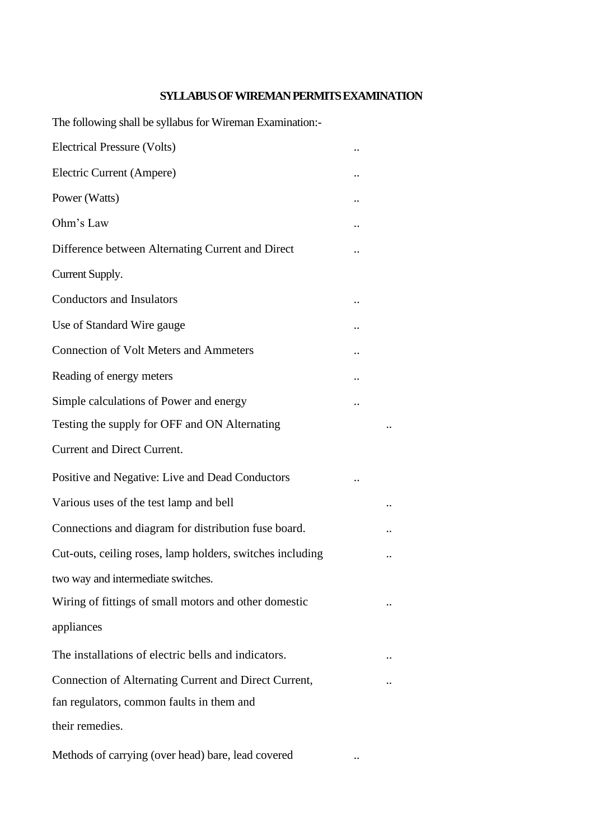# **SYLLABUS OF WIREMAN PERMITS EXAMINATION**

The following shall be syllabus for Wireman Examination:-

| Electrical Pressure (Volts)                               |  |
|-----------------------------------------------------------|--|
| Electric Current (Ampere)                                 |  |
| Power (Watts)                                             |  |
| Ohm's Law                                                 |  |
| Difference between Alternating Current and Direct         |  |
| Current Supply.                                           |  |
| <b>Conductors and Insulators</b>                          |  |
| Use of Standard Wire gauge                                |  |
| <b>Connection of Volt Meters and Ammeters</b>             |  |
| Reading of energy meters                                  |  |
| Simple calculations of Power and energy                   |  |
| Testing the supply for OFF and ON Alternating             |  |
| Current and Direct Current.                               |  |
| Positive and Negative: Live and Dead Conductors           |  |
| Various uses of the test lamp and bell                    |  |
| Connections and diagram for distribution fuse board.      |  |
| Cut-outs, ceiling roses, lamp holders, switches including |  |
| two way and intermediate switches.                        |  |
| Wiring of fittings of small motors and other domestic     |  |
| appliances                                                |  |
| The installations of electric bells and indicators.       |  |
| Connection of Alternating Current and Direct Current,     |  |
| fan regulators, common faults in them and                 |  |
| their remedies.                                           |  |
| Methods of carrying (over head) bare, lead covered        |  |